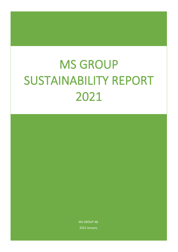# MS GROUP SUSTAINABILITY REPORT 2021

MS GROUP AB 2022 January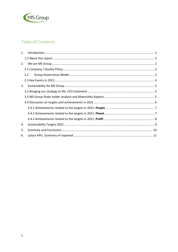

# Table of Contents

| 1. |               |  |
|----|---------------|--|
|    |               |  |
| 2. |               |  |
|    |               |  |
|    | $2.2^{\circ}$ |  |
|    |               |  |
| 3. |               |  |
|    |               |  |
|    |               |  |
|    |               |  |
|    |               |  |
|    |               |  |
|    |               |  |
| 4. |               |  |
| 5. |               |  |
| 6. |               |  |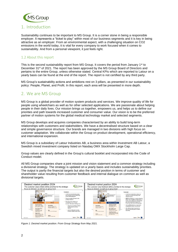

# <span id="page-2-0"></span>1. Introduction

Sustainability continues to be important to MS Group. It is a corner stone in being a responsible employer. It represents a "ticket to play" within most of our business segments and it is key in being attractive as an employer. From an environmental aspect, with a challenging situation on CO2 emissions in the world today, it is vital for every company to work focused when it comes to sustainability. And from a personal viewpoint, it just feels right.

## <span id="page-2-1"></span>1.2 About this report

This is the second sustainability report from MS Group. It covers the period from January 1st to December 31<sup>st</sup> of 2021. The report has been approved by the MS Group Board of Directors and pertains to the entire Group, unless otherwise stated. Central KPIs which are reported to Latour on a yearly basis can be found at the end of the report. The report is not certified by any third party.

MS Group's sustainability actions and ambitions rest on 3 pillars, as presented in our sustainability policy: People, Planet, and Profit. In this report, each area will be presented in more depth.

## <span id="page-2-2"></span>2. We are MS Group

MS Group is a global provider of motion system products and services. We improve quality of life for people using wheelchairs as well as for other selected applications. We are passionate about helping people in their daily lives. Our mission brings us together, empowers us, and helps us to define our priorities and path towards increased customer and consumer value. Our vision is to be the preferred partner of motion systems for the global medical technology market and selected segments.

MS Group develops and acquires companies characterised by an ability to build long-term relationships with customers and stakeholders. We have a decentralised structure based on a clear and simple governance structure. Our brands are managed in two divisions with high focus on customer adaptation. We collaborate within the Group on product development, operational efficiency, and international expansion.

MS Group is a subsidiary of Latour Industries AB, a business area within Investment AB Latour, a Swedish mixed investment company listed on Nasdaq OMX Stockholm Large Cap.

Group values are clearly defined in the Group's cultural booklet and incorporated into the Code of Conduct model.

All MS Group companies share a joint mission and vision statement and a common strategy including a divisional strategy. The strategy is updated on a yearly basis and includes sustainability priorities. The output is partly the financial targets but also the desired position in terms of customer and shareholder value resulting from customer feedback and internal dialogue on common as well as divisional targets.



*Figure 1: Desired market position. From Group Strategy from May 2021.*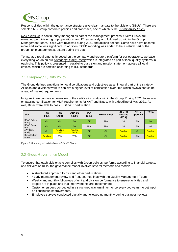

Responsibilities within the governance structure give clear mandate to the divisions (SBUs). There are selected MS Group corporate policies and processes, one of which is the *Sustainability Policy*.

*Risk exposure* is continuously managed as part of the management process. Overall, risks are managed per division, group operations, and IT respectively and followed up within the Group Management Team. Risks were reviewed during 2021 and actions defined. Some risks have become more and some less significant. In addition, TCFD reporting was added to be a natural part of the group risk management structure during the year.

To manage requirements imposed on the company and create a platform for our operations, we base everything we do on our *Company/Quality Policy* which is integrated as part of local quality systems in each site. This policy is presented in parallel to our vision and mission statement across all local entities, which are certified according to ISO standards.

## <span id="page-3-0"></span>2.1 Company / Quality Policy

The Group defines ambitions for local certifications and objectives as an integral part of the strategy. All units and divisions work to achieve a higher level of certification over time which always should be ahead of market requirements.

In figure 2, we can see an overview of the certification status within the Group. During 2021, focus was on passing certification for MDR requirements for AAT and Batec, with a deadline of May 2021. As well, Batec were able to pass ISO13485 certification.

| <b>Site</b>                    | <b>ISO</b><br>9001 | <b>ISO</b><br>14001    | <b>OHSAS</b><br>18001 | <b>ISO</b><br>13485 | <b>MDR Compl</b> | <b>21 CFR</b><br><b>Part 820</b><br>(FDA) | <b>NRTL</b><br>approval | RoHS3     |
|--------------------------------|--------------------|------------------------|-----------------------|---------------------|------------------|-------------------------------------------|-------------------------|-----------|
| <b>REAC Poland</b><br>(RPL)    | <b>OK</b>          | OK                     | OK                    | OK                  | N/A              | N/A                                       | N/A                     | <b>OK</b> |
| <b>REAC Comp.</b><br>(REC)     | OK                 | <b>OK</b>              | <b>OK</b>             | N/A                 | N/A              | N/A                                       | N/A                     | N/A       |
| AAT GmbH<br>(AAT)              | OK                 | <b>Pending</b><br>2023 | Pending<br>2023       | OK                  | <b>OK</b>        | <b>Pending</b>                            | OK                      | Pending   |
| <b>Batec Mobility</b><br>(BAM) | <b>Pending</b>     | <b>TBD</b>             | <b>TBD</b>            | OK                  | <b>OK</b>        | <b>Pending</b>                            | N/A                     | Pending   |

|  | Figure 2: Summary of certifications within MS Group |  |
|--|-----------------------------------------------------|--|
|  |                                                     |  |
|  |                                                     |  |

## <span id="page-3-1"></span>2.2 Group Governance Model

To ensure that each division/site complies with Group policies, performs according to financial targets, and delivers on KPIs, the governance model involves several methods and models:

- A structured approach to ISO and other certifications.
- Yearly management review and frequent meetings with the Quality Management Team.
- Weekly and monthly follow-ups of unit and division performance to ensure activities and targets are in place and that improvements are implemented.
- Customer surveys conducted in a structured way (minimum once every two years) to get input on continuous improvements.
- Employee surveys conducted digitally and followed up monthly during business reviews.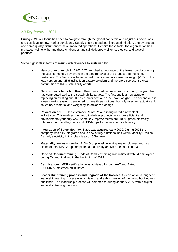

## <span id="page-4-0"></span>2.3 Key Events in 2021

During 2021, our focus has been to navigate through the global pandemic and adjust our operations and cost level to new market conditions. Supply chain disruptions, increased inflation, energy process and some quality disturbances have impacted operations. Despite these facts, the organisation has managed well to withstand these challenges and still delivered well on strategical and tactical priorities.

Some highlights in terms of results with reference to sustainability:

- **New product launch in AAT**. AAT launched an upgrade of the V-max product during the year. It marks a key event in the total renewal of the product offering to key customers. The V-max2 is better in performance and also lower in weight (-10% in the lead version and -25% using Lion battery solution) and therefore represent a clear contribution to the sustainability efforts.
- **New products launch in Reac.** Reac launched two new products during the year that has contributed well to the sustainability targets. The first one is a new actuator replacing an existing one. It has a lower cost and 15% lower weight. The second one is a new seating system, developed to have three motions, but only uses two actuators. It saves both material and weight by its advanced design.
- **Relocation of RPL.** In September REAC Poland inaugurated a new plant in Piotrkow. This enables the group to deliver products in a more efficient and environmentally friendly way. Some key improvements are: 100% green electricity. Integrated Air handling units and LED-lamps for better energy efficiency.
- **Integration of Batec Mobility**. Batec was acquired early 2020. During 2021 the company was fully integrated and is now a fully functional unit within Mobility Division. As well, electricity in this plant is also 100% green.
- **Materiality analysis version 2**: On Group level, involving key employees and key stakeholders, MS Group completed a materiality analysis, see section 3.3.
- **Code of Conduct training:** Code of Conduct training was initiated with 64 employees during Q4 and finalized in the beginning of 2022.
- **Certifications:** MDR certification was achieved for both AAT and Batec. ISO 13485 implemented in Batec.
- **Leadership training process and upgrade of the booklet:** A decision on a long term leadership training process was achieved, and a third version of the group booklet was published. The leadership process will commence during January 2022 with a digital leadership training platform.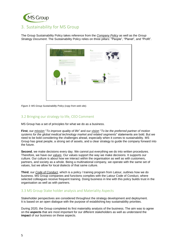

# <span id="page-5-0"></span>3. Sustainability for MS Group

The Group Sustainability Policy takes reference from the *Company Policy* as well as the *Group Strategy Document*. The Sustainability Policy relies on three pillars: "People", "Planet", and "Profit".

| <b>Quina</b><br>on bothing levers from the lost<br><b>TELEVISION</b><br>Sustainability                                                                                                                                                                                           |                                                                                                                                                                                                                                                                                                                                                                                                                                                                                          | Pianet<br>the transmitted, furthermore reduction to the temperature<br>and of a transport in the control of the state of the con-<br>A 4-de para de as as as deux de alguns de la chieste en constituir.<br>the transport of the line of the line of the control of the con-<br>the government to all a parties that are with a streamed.             |                                                                                                                                                                                                                                                                                                                                                 |
|----------------------------------------------------------------------------------------------------------------------------------------------------------------------------------------------------------------------------------------------------------------------------------|------------------------------------------------------------------------------------------------------------------------------------------------------------------------------------------------------------------------------------------------------------------------------------------------------------------------------------------------------------------------------------------------------------------------------------------------------------------------------------------|-------------------------------------------------------------------------------------------------------------------------------------------------------------------------------------------------------------------------------------------------------------------------------------------------------------------------------------------------------|-------------------------------------------------------------------------------------------------------------------------------------------------------------------------------------------------------------------------------------------------------------------------------------------------------------------------------------------------|
| Ms Group's three P.s.<br>measurement and contribute to contrast the position of the basic contrast of<br>extensant consent heat.<br>Lighter the privation of the set of the private states and an annual particle and set<br>the state of the side is a stream of the late or to |                                                                                                                                                                                                                                                                                                                                                                                                                                                                                          | alle to as for the most shown in the same the factors of the house."<br>President New York and with a funeral service to reside for some<br>availability med that service. It's a<br>The property services and on home adverted to see it is see.<br>publicate state harders of suit lease per sings about a result.<br><b>DISTURNATION EXECUTIVE</b> |                                                                                                                                                                                                                                                                                                                                                 |
| <b>SECTION</b><br>People                                                                                                                                                                                                                                                         | In this pointers is an entirely collected and commercialized<br>loads according to spinal and an unique team of the change of                                                                                                                                                                                                                                                                                                                                                            |                                                                                                                                                                                                                                                                                                                                                       | <b>The County of the County</b><br>- 20<br>$P_{\text{rofit}}$                                                                                                                                                                                                                                                                                   |
|                                                                                                                                                                                                                                                                                  | the relations and controlled a state of the<br>Employee of police and policing a status and on our and<br>President links and a series of book, more and<br><b>CONTRACTOR</b> INTO A REPORT OF THE CONTRACTOR<br>the three in the party of an extent and a process of the determinant<br>The party of the control of the control of the control of the control of the control of<br>brick or bottom disposition of a structure day in approach of the<br>seat in the control of the con- |                                                                                                                                                                                                                                                                                                                                                       | Earth Candidate Institute in a property than both the state and burban.<br>to now can of resume hydro-stage of Normand #1.<br>positive deprecipements statement.<br>Production President and release the rest and it states<br>form endorsemped to their tires.<br>physics buyer agrees a lat a sharehold return to be<br>www.communication.com |
|                                                                                                                                                                                                                                                                                  |                                                                                                                                                                                                                                                                                                                                                                                                                                                                                          |                                                                                                                                                                                                                                                                                                                                                       |                                                                                                                                                                                                                                                                                                                                                 |
|                                                                                                                                                                                                                                                                                  |                                                                                                                                                                                                                                                                                                                                                                                                                                                                                          |                                                                                                                                                                                                                                                                                                                                                       |                                                                                                                                                                                                                                                                                                                                                 |

*Figure 3: MS Group Sustainability Policy (copy from web site).*

## <span id="page-5-1"></span>3.2 Bringing our strategy to life, CEO Comment

MS Group has a set of principles for what we do as a business.

**First**, our *mission* "*To improve quality of life*" and our *vision* "*To be the preferred partner of motion systems for the global medical technology market and related segments*" statements are bold. But we need to be bold considering the challenges ahead, especially when it comes to sustainability. MS Group has great people, a strong set of assets, and a clear strategy to guide the company forward into the future.

**Second**, we make decisions every day. We cannot put everything we do into written procedures. Therefore, we have our *values*. Our values support the way we make decisions. It supports our culture. Our culture is about how we interact within the organisation as well as with customers, partners, and society as a whole. Being a multinational company, we operate with the same set of values, but we allow for local dialects of that same culture.

**Third**, our *Code of Conduct*, which is a policy / training program from Latour, outlines how we do business. MS Group companies and functions complies with the Latour Code of Conduct, where selected colleagues receive frequent training. Doing business in line with this policy builds trust in the organisation as well as with partners.

## <span id="page-5-2"></span>3.3 MS Group Stake holder analysis and Materiality Aspects

Stakeholder perspectives are considered throughout the strategy development and deployment. It is based on an open dialogue with the purpose of establishing key sustainability priorities.

During 2020, the Group completed its first materiality analysis of the business. The aim was to agree on the **aspects** that are most important for our different stakeholders as well as understand the **impact** of our business on these aspects.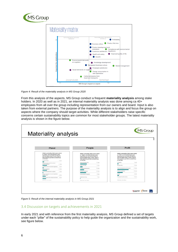



*Figure 4: Result of the materiality analysis in MS Group 2020*

From this analysis of the aspects, MS Group conduct a frequent **materiality analysis** among stake holders. In 2020 as well as in 2021, an internal materiality analysis was done among ca 40+ employees from all over the group including representation from our owners and board. Input is also taken from external partners. The purpose of the materiality analysis is to align and focus the group on aspects where the company should target activities. While different stakeholders raise specific concerns certain sustainability topics are common for most stakeholder groups. The latest materiality analysis is shown in the figure below.



*Figure 5: Result of the internal materiality analysis in MS Group 2021*

#### <span id="page-6-0"></span>3.4 Discussion on targets and achievements in 2021

In early 2021 and with reference from the first materiality analysis, MS Group defined a set of targets under each "pillar" of the sustainability policy to help guide the organization and the sustainability work, see figure below.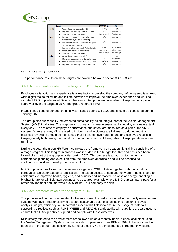

|               | <b>Target</b> |                                                 | <b>2020 YTD Oct</b> | 2021            |
|---------------|---------------|-------------------------------------------------|---------------------|-----------------|
| People        |               | Winningtemp participation to > 75%              | Ca 75%              | >75%            |
|               | ٠             | Implement sustainability boards in all plants   | N/A                 | Implemented     |
|               | $\bullet$     | Track and improve on local KPIs                 | Acc. to target      | Acc. to target  |
| <b>Planet</b> |               | Implement target on Carbon emissions from       | N/A                 | Implemented     |
|               |               | transport/travel, electricity & heating         |                     |                 |
|               | $\bullet$     | Measure and improve on renewable energy as      | N/A                 | Implemented     |
|               |               | % of electricity and heating                    |                     |                 |
|               |               | Improve on all environmental KPIs in all plants | Done                | Improvement     |
|               | $\bullet$     | Continue to implement certifications            | Follow strategy     | Follow strategy |
|               | $\bullet$     | Track and improve on local KPIs                 | Acc. to target      | Acc. to target  |
| <b>Profit</b> |               | Achieve budget on OP (% of Sales)               |                     | >Budget         |
|               |               | Measure investments with sustainability index   | N/A                 | Implemented     |
|               | ٠             | Conduct customer survey in REAC/AAT/Batec       | 2017/2018           | Implemented     |
|               |               | Implement sustainability targets in Prod. Dev.  | N/A                 | Implemented     |

#### *Figure 6: Sustainability targets for 2021*

The performance results on these targets are covered below in section 3.4.1 – 3.4.3.

#### <span id="page-7-0"></span>3.4.1 Achievements related to the targets in 2021: People

Employee satisfaction and experience is a key factor to develop the company. Winningtemp is a group wide digital tool to follow up and initiate activities to improve the employee experience and working climate. MS Group integrated Batec in the Winningtemp tool and was able to keep the participation score well over the targeted 75% (The group reported 83%).

In addition, a code of conduct training was initiated during Q4 2021 and should be completed during January 2022.

The group also successfully implemented sustainability as an integral part of the Visible Management System (VMS) in all sites. The purpose is to drive and manage sustainability locally, as a natural task every day. KPIs related to employee performance and safety are measured as a part of the VMS system. As an example, KPIs related to incidents and accidents are followed up during monthly business reviews. It should be highlighted that all plants have made efforts and achieved results in keeping safety high during the global corona pandemic and still being able to keep operations up and running.

During the year, the group HR Forum completed the framework on Leadership training consisting of a 4-stage program. This long-term process was included in the budget for 2022 and has since been kicked of as part of the group activities during 2022. This process is an add on to the normal competence planning and execution from the employee appraisals and will be essential to continuously build and develop the group culture.

MS Group continues to support Solvatten as a general CSR initiative together with many Latour companies. Solvatten supports families with increased access to safe and hot water. The collaboration contributes to improved health, hygiene, and equality and increased use of solar energy, enabling a brighter future for all. Solvatten continues to be a great example where MS Group can participate for a better environment and improved quality of life – our company mission.

#### <span id="page-7-1"></span>3.4.2 Achievements related to the targets in 2021: Planet

The priorities within the group related to the environment is partly described in the quality management system. We have a responsibility to develop sustainable solutions, taking into account life cycle analysis, weight, efficiency. An important aspect in this field is to ensure the usage of materials supporting directives such as RoHS, WEEE and REACH. Yearly audits with suppliers are also used to ensure that all Group entities support and comply with these directives.

KPIs strictly related to the environment are followed up on a monthly basis in each local plant using the Visible Management System. Latour has also implemented new KPIs in 2018 to be monitored in each site in the group (see section 6). Some of these KPIs are implemented in the monthly figures.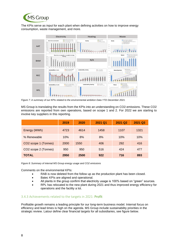

The KPIs serve as input for each plant when defining activities on how to improve energy consumption, waste management, and more.



*Figure 7: A summary of our KPIs related to the environmental ambition Data YTD December 2021.*

MS Group is translating the results from the KPIs into an understanding on CO2-emissions. These CO2 emissions are reported from own operations, based on scope 1 and 2. For 2022 we are starting to involve key suppliers in this reporting.

|                                  | 2019 | 2020 | 2021 Q1 | 2021 Q2 | 2021 Q3 |
|----------------------------------|------|------|---------|---------|---------|
| Energy (MWh)                     | 4723 | 4614 | 1458    | 1107    | 1321    |
| % Renewable                      | 10%  | 8%   | 8%      | 10%     | 10%     |
| CO <sub>2</sub> scope 1 (Tonnes) | 2000 | 1550 | 406     | 292     | 416     |
| CO2 scope 2 (Tonnes)             | 950  | 950  | 516     | 424     | 477     |
| <b>TOTAL</b>                     | 2950 | 2500 | 922     | 716     | 893     |

*Figure 8: Summary of internal MS Group energy usage and CO2 emissions*

Comments on the environmental KPIs:

- RAB is now deleted from the follow up as the production plant has been closed.
- Batec KPIs are aligned and operational.
- All plants in the group confirm that electricity usage is 100% based on "green" sources.
- RPL has relocated to the new plant during 2021 and thus improved energy efficiency for operations and the facility a lot.

#### <span id="page-8-0"></span>3.4.3 Achievements related to the targets in 2021: Profit

Profitable growth remains a leading principle for our long-term business model. Internal focus on efficiency and lead times is high on the agenda. MS Group include sustainability priorities in the strategic review. Latour define clear financial targets for all subsidiaries, see figure below.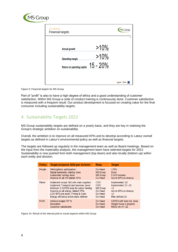

| Our operations<br><b>Financial targets</b> |                             |             | MS Group                      |
|--------------------------------------------|-----------------------------|-------------|-------------------------------|
|                                            |                             | $>10\%$     |                               |
| Annual growth                              | <b>Operating margin</b>     | $>10\%$     |                               |
|                                            | Return on operating capital | $15 - 20\%$ |                               |
|                                            |                             |             |                               |
|                                            |                             |             | DBATEC<br><b>PREAC</b><br>AAT |

*Figure 9: Financial targets for MS Group.*

Part of "profit" is also to have a high degree of ethics and a good understanding of customer satisfaction. Within MS Group a code of conduct training is continuously done. Customer satisfaction is measured with a frequent result. Our product development is focused on creating value for the final consumer including sustainability targets.

# <span id="page-9-0"></span>4. Sustainability Targets 2022

MS Group sustainability targets are defined on a yearly basis, and they are key in realising the Group's strategic ambition on sustainability.

Overall, the ambition is to improve on all measured KPIs and to develop according to Latour overall targets as defined in Latour's environmental policy as well as financial targets.

The targets are followed up regularly in the management team as well as Board meetings. Based on the input from the materiality analysis, the management team have selected targets for 2022. Sustainability is now pushed from both management (top down) and also locally (bottom up) within each entity and division.

| <b>Policy</b> | <b>Target proposal 2022 per division</b> | <b>Resp</b>     | <b>Target</b>             |
|---------------|------------------------------------------|-----------------|---------------------------|
| People        | Winningtemp participation                | Div Head        | $>75\%$                   |
|               | Digital leadership training done         | <b>MS Group</b> | Done                      |
|               | Leadership training done                 | <b>MS Group</b> | 2 of 5 modules            |
|               | Improve on all HR related KPIs           | Div Head        | Acc to KPIs on share-p    |
| Planet        | Implement scope 1&2 with main suppliers  | COO             | Implemented Q2            |
|               | Implement Transport and business travel  | COO             | Implemented Q1-22         |
|               | Minimum 2 CAPEX prop for Latour funding  | <b>MS Group</b> | >2                        |
|               | Improve on all energy related KPIs       | Div Head        | Acc to KPIs on share-p    |
|               | LCA/ EPD pre study (Timing & Cost)       | Div Head        | >2                        |
|               | Energy efficiency action plans defined   | Div Head        | Plan defined Q1           |
| Profit        | Achieve budget OP %                      | Div Head        | CAPEX with Sust ind. done |
|               | Innovation                               | Div Head        | Weight focus in projects  |
|               | Customer satisfaction                    | Div Head        | REAC div H1-22            |

*Figure 10: Result of the internal poll on social aspects within MS Group*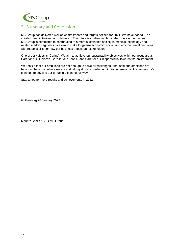

# <span id="page-10-0"></span>5. Summary and Conclusion

MS Group has delivered well on commitments and targets defined for 2021. We have added KPIs, created clear initiatives, and delivered. The future is challenging but it also offers opportunities. MS Group is committed to contributing to a more sustainable society in medical technology and related market segments. We aim to make long-term economic, social, and environmental decisions with responsibility for how our business affects our stakeholders.

One of our values is "Caring". We aim to achieve our sustainability objectives within our focus areas: Care for our Business, Care for our People, and Care for our responsibility towards the environment.

We realize that our ambitions are not enough to solve all challenges. That said, the ambitions are balanced based on where we are and taking all stake holder input into our sustainability process. We continue to develop our group in a continuous way.

Stay tuned for more results and achievements in 2022.

Gothenburg 28 January 2022

Mauritz Sahlin / CEO MS Group